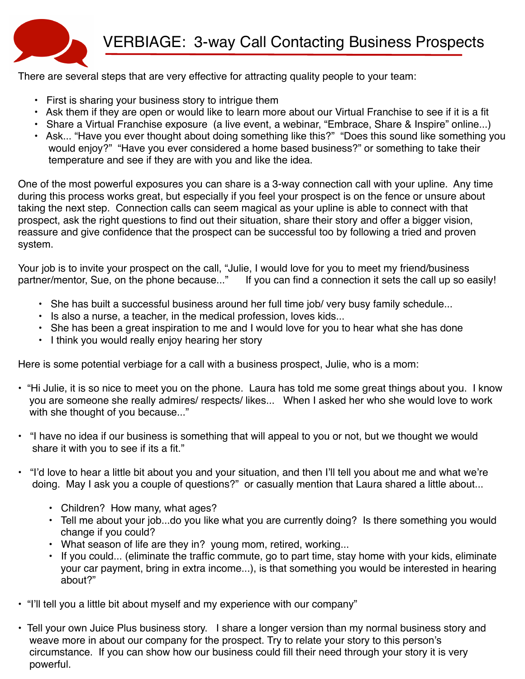

There are several steps that are very effective for attracting quality people to your team:

- First is sharing your business story to intrigue them
- Ask them if they are open or would like to learn more about our Virtual Franchise to see if it is a fit
- Share a Virtual Franchise exposure (a live event, a webinar, "Embrace, Share & Inspire" online...)
- Ask... "Have you ever thought about doing something like this?" "Does this sound like something you would enjoy?" "Have you ever considered a home based business?" or something to take their temperature and see if they are with you and like the idea.

One of the most powerful exposures you can share is a 3-way connection call with your upline. Any time during this process works great, but especially if you feel your prospect is on the fence or unsure about taking the next step. Connection calls can seem magical as your upline is able to connect with that prospect, ask the right questions to find out their situation, share their story and offer a bigger vision, reassure and give confidence that the prospect can be successful too by following a tried and proven system.

Your job is to invite your prospect on the call, "Julie, I would love for you to meet my friend/business partner/mentor, Sue, on the phone because..." If you can find a connection it sets the call up so easily!

- She has built a successful business around her full time job/ very busy family schedule...
- Is also a nurse, a teacher, in the medical profession, loves kids...
- She has been a great inspiration to me and I would love for you to hear what she has done
- I think you would really enjoy hearing her story

Here is some potential verbiage for a call with a business prospect, Julie, who is a mom:

- "Hi Julie, it is so nice to meet you on the phone. Laura has told me some great things about you. I know you are someone she really admires/ respects/ likes... When I asked her who she would love to work with she thought of you because..."
- "I have no idea if our business is something that will appeal to you or not, but we thought we would share it with you to see if its a fit."
- "I'd love to hear a little bit about you and your situation, and then I'll tell you about me and what we're doing. May I ask you a couple of questions?" or casually mention that Laura shared a little about...
	- Children? How many, what ages?
	- Tell me about your job...do you like what you are currently doing? Is there something you would change if you could?
	- What season of life are they in? young mom, retired, working...
	- If you could... (eliminate the traffic commute, go to part time, stay home with your kids, eliminate your car payment, bring in extra income...), is that something you would be interested in hearing about?"
- "I'll tell you a little bit about myself and my experience with our company"
- Tell your own Juice Plus business story. I share a longer version than my normal business story and weave more in about our company for the prospect. Try to relate your story to this person's circumstance. If you can show how our business could fill their need through your story it is very powerful.